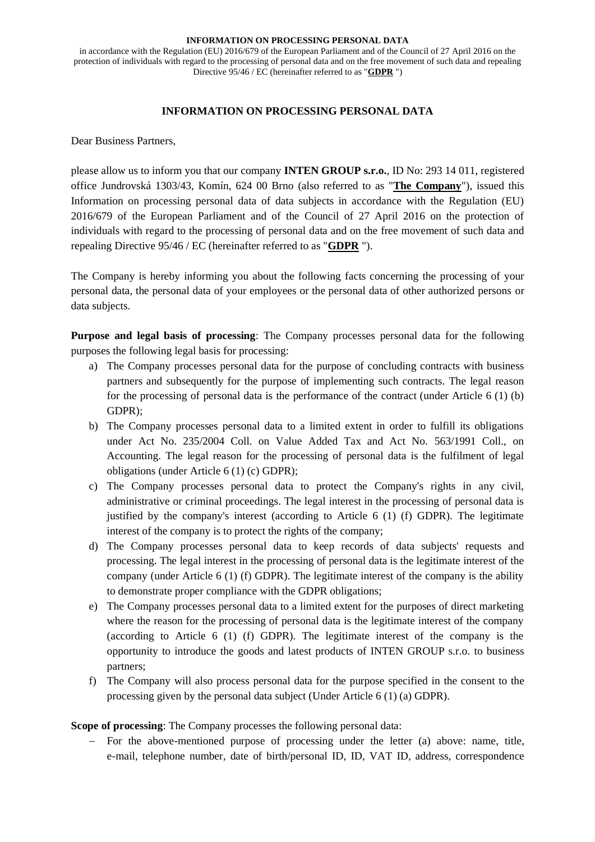in accordance with the Regulation (EU) 2016/679 of the European Parliament and of the Council of 27 April 2016 on the protection of individuals with regard to the processing of personal data and on the free movement of such data and repealing Directive 95/46 / EC (hereinafter referred to as "**GDPR** ")

#### **INFORMATION ON PROCESSING PERSONAL DATA**

Dear Business Partners,

please allow us to inform you that our company **INTEN GROUP s.r.o.**, ID No: 293 14 011, registered office Jundrovská 1303/43, Komín, 624 00 Brno (also referred to as "**The Company**"), issued this Information on processing personal data of data subjects in accordance with the Regulation (EU) 2016/679 of the European Parliament and of the Council of 27 April 2016 on the protection of individuals with regard to the processing of personal data and on the free movement of such data and repealing Directive 95/46 / EC (hereinafter referred to as "**GDPR** ").

The Company is hereby informing you about the following facts concerning the processing of your personal data, the personal data of your employees or the personal data of other authorized persons or data subjects.

**Purpose and legal basis of processing**: The Company processes personal data for the following purposes the following legal basis for processing:

- a) The Company processes personal data for the purpose of concluding contracts with business partners and subsequently for the purpose of implementing such contracts. The legal reason for the processing of personal data is the performance of the contract (under Article 6 (1) (b) GDPR);
- b) The Company processes personal data to a limited extent in order to fulfill its obligations under Act No. 235/2004 Coll. on Value Added Tax and Act No. 563/1991 Coll., on Accounting. The legal reason for the processing of personal data is the fulfilment of legal obligations (under Article 6 (1) (c) GDPR);
- c) The Company processes personal data to protect the Company's rights in any civil, administrative or criminal proceedings. The legal interest in the processing of personal data is justified by the company's interest (according to Article 6 (1) (f) GDPR). The legitimate interest of the company is to protect the rights of the company;
- d) The Company processes personal data to keep records of data subjects' requests and processing. The legal interest in the processing of personal data is the legitimate interest of the company (under Article 6 (1) (f) GDPR). The legitimate interest of the company is the ability to demonstrate proper compliance with the GDPR obligations;
- e) The Company processes personal data to a limited extent for the purposes of direct marketing where the reason for the processing of personal data is the legitimate interest of the company (according to Article 6 (1) (f) GDPR). The legitimate interest of the company is the opportunity to introduce the goods and latest products of INTEN GROUP s.r.o. to business partners;
- f) The Company will also process personal data for the purpose specified in the consent to the processing given by the personal data subject (Under Article 6 (1) (a) GDPR).

**Scope of processing**: The Company processes the following personal data:

− For the above-mentioned purpose of processing under the letter (a) above: name, title, e-mail, telephone number, date of birth/personal ID, ID, VAT ID, address, correspondence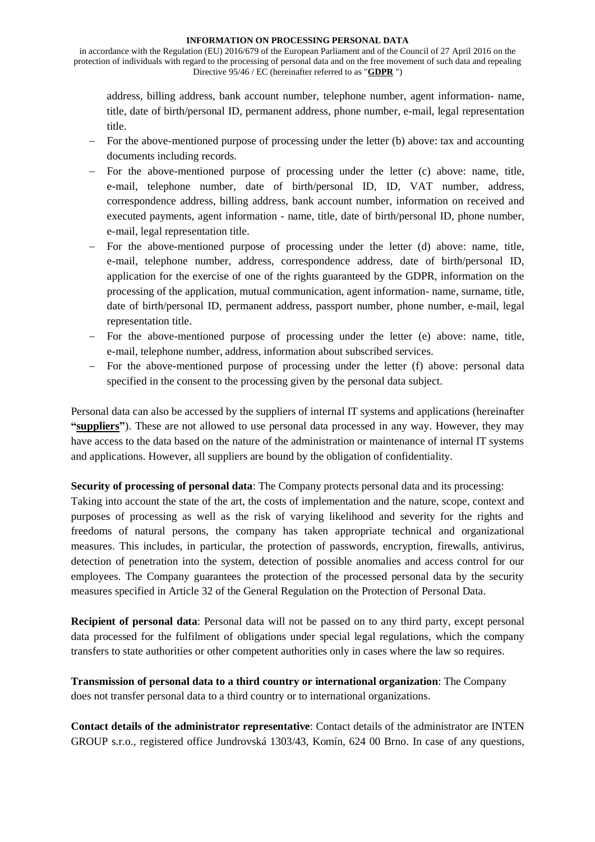in accordance with the Regulation (EU) 2016/679 of the European Parliament and of the Council of 27 April 2016 on the protection of individuals with regard to the processing of personal data and on the free movement of such data and repealing Directive 95/46 / EC (hereinafter referred to as "**GDPR** ")

address, billing address, bank account number, telephone number, agent information- name, title, date of birth/personal ID, permanent address, phone number, e-mail, legal representation title.

- − For the above-mentioned purpose of processing under the letter (b) above: tax and accounting documents including records.
- − For the above-mentioned purpose of processing under the letter (c) above: name, title, e-mail, telephone number, date of birth/personal ID, ID, VAT number, address, correspondence address, billing address, bank account number, information on received and executed payments, agent information - name, title, date of birth/personal ID, phone number, e-mail, legal representation title.
- − For the above-mentioned purpose of processing under the letter (d) above: name, title, e-mail, telephone number, address, correspondence address, date of birth/personal ID, application for the exercise of one of the rights guaranteed by the GDPR, information on the processing of the application, mutual communication, agent information- name, surname, title, date of birth/personal ID, permanent address, passport number, phone number, e-mail, legal representation title.
- − For the above-mentioned purpose of processing under the letter (e) above: name, title, e-mail, telephone number, address, information about subscribed services.
- − For the above-mentioned purpose of processing under the letter (f) above: personal data specified in the consent to the processing given by the personal data subject.

Personal data can also be accessed by the suppliers of internal IT systems and applications (hereinafter **"suppliers"**). These are not allowed to use personal data processed in any way. However, they may have access to the data based on the nature of the administration or maintenance of internal IT systems and applications. However, all suppliers are bound by the obligation of confidentiality.

**Security of processing of personal data**: The Company protects personal data and its processing:

Taking into account the state of the art, the costs of implementation and the nature, scope, context and purposes of processing as well as the risk of varying likelihood and severity for the rights and freedoms of natural persons, the company has taken appropriate technical and organizational measures. This includes, in particular, the protection of passwords, encryption, firewalls, antivirus, detection of penetration into the system, detection of possible anomalies and access control for our employees. The Company guarantees the protection of the processed personal data by the security measures specified in Article 32 of the General Regulation on the Protection of Personal Data.

**Recipient of personal data**: Personal data will not be passed on to any third party, except personal data processed for the fulfilment of obligations under special legal regulations, which the company transfers to state authorities or other competent authorities only in cases where the law so requires.

**Transmission of personal data to a third country or international organization**: The Company does not transfer personal data to a third country or to international organizations.

**Contact details of the administrator representative**: Contact details of the administrator are INTEN GROUP s.r.o., registered office Jundrovská 1303/43, Komín, 624 00 Brno. In case of any questions,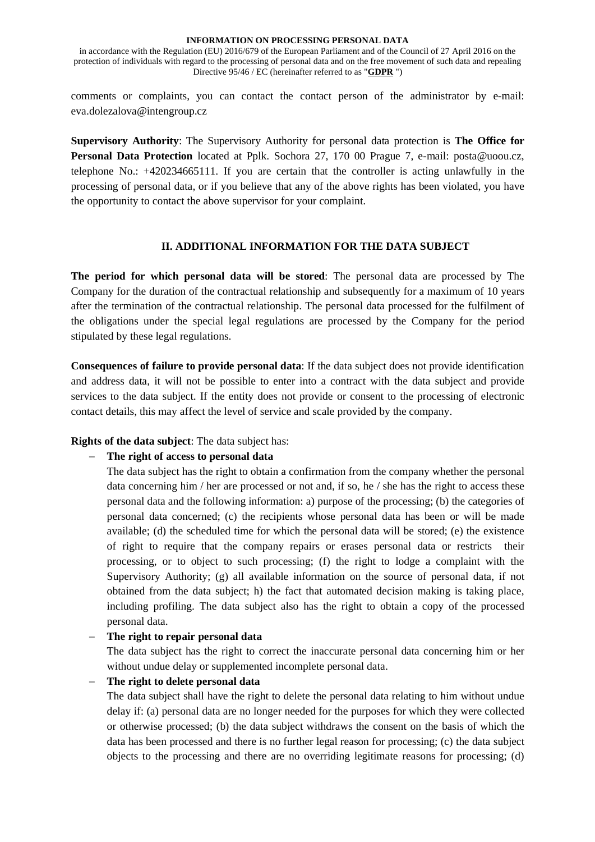in accordance with the Regulation (EU) 2016/679 of the European Parliament and of the Council of 27 April 2016 on the protection of individuals with regard to the processing of personal data and on the free movement of such data and repealing Directive 95/46 / EC (hereinafter referred to as "**GDPR** ")

comments or complaints, you can contact the contact person of the administrator by e-mail: eva.dolezalova@intengroup.cz

**Supervisory Authority**: The Supervisory Authority for personal data protection is **The Office for Personal Data Protection** located at Pplk. Sochora 27, 170 00 Prague 7, e-mail: posta@uoou.cz, telephone No.: +420234665111. If you are certain that the controller is acting unlawfully in the processing of personal data, or if you believe that any of the above rights has been violated, you have the opportunity to contact the above supervisor for your complaint.

### **II. ADDITIONAL INFORMATION FOR THE DATA SUBJECT**

**The period for which personal data will be stored**: The personal data are processed by The Company for the duration of the contractual relationship and subsequently for a maximum of 10 years after the termination of the contractual relationship. The personal data processed for the fulfilment of the obligations under the special legal regulations are processed by the Company for the period stipulated by these legal regulations.

**Consequences of failure to provide personal data**: If the data subject does not provide identification and address data, it will not be possible to enter into a contract with the data subject and provide services to the data subject. If the entity does not provide or consent to the processing of electronic contact details, this may affect the level of service and scale provided by the company.

**Rights of the data subject**: The data subject has:

# − **The right of access to personal data**

The data subject has the right to obtain a confirmation from the company whether the personal data concerning him / her are processed or not and, if so, he / she has the right to access these personal data and the following information: a) purpose of the processing; (b) the categories of personal data concerned; (c) the recipients whose personal data has been or will be made available; (d) the scheduled time for which the personal data will be stored; (e) the existence of right to require that the company repairs or erases personal data or restricts their processing, or to object to such processing; (f) the right to lodge a complaint with the Supervisory Authority; (g) all available information on the source of personal data, if not obtained from the data subject; h) the fact that automated decision making is taking place, including profiling. The data subject also has the right to obtain a copy of the processed personal data.

# − **The right to repair personal data**

The data subject has the right to correct the inaccurate personal data concerning him or her without undue delay or supplemented incomplete personal data.

# − **The right to delete personal data**

The data subject shall have the right to delete the personal data relating to him without undue delay if: (a) personal data are no longer needed for the purposes for which they were collected or otherwise processed; (b) the data subject withdraws the consent on the basis of which the data has been processed and there is no further legal reason for processing; (c) the data subject objects to the processing and there are no overriding legitimate reasons for processing; (d)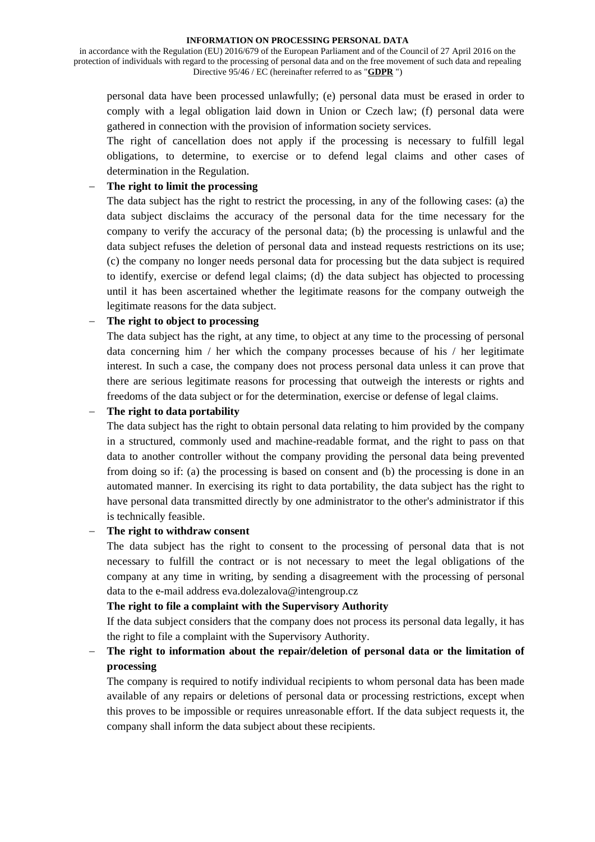in accordance with the Regulation (EU) 2016/679 of the European Parliament and of the Council of 27 April 2016 on the protection of individuals with regard to the processing of personal data and on the free movement of such data and repealing Directive 95/46 / EC (hereinafter referred to as "**GDPR** ")

personal data have been processed unlawfully; (e) personal data must be erased in order to comply with a legal obligation laid down in Union or Czech law; (f) personal data were gathered in connection with the provision of information society services.

The right of cancellation does not apply if the processing is necessary to fulfill legal obligations, to determine, to exercise or to defend legal claims and other cases of determination in the Regulation.

### − **The right to limit the processing**

The data subject has the right to restrict the processing, in any of the following cases: (a) the data subject disclaims the accuracy of the personal data for the time necessary for the company to verify the accuracy of the personal data; (b) the processing is unlawful and the data subject refuses the deletion of personal data and instead requests restrictions on its use; (c) the company no longer needs personal data for processing but the data subject is required to identify, exercise or defend legal claims; (d) the data subject has objected to processing until it has been ascertained whether the legitimate reasons for the company outweigh the legitimate reasons for the data subject.

### − **The right to object to processing**

The data subject has the right, at any time, to object at any time to the processing of personal data concerning him / her which the company processes because of his / her legitimate interest. In such a case, the company does not process personal data unless it can prove that there are serious legitimate reasons for processing that outweigh the interests or rights and freedoms of the data subject or for the determination, exercise or defense of legal claims.

### − **The right to data portability**

The data subject has the right to obtain personal data relating to him provided by the company in a structured, commonly used and machine-readable format, and the right to pass on that data to another controller without the company providing the personal data being prevented from doing so if: (a) the processing is based on consent and (b) the processing is done in an automated manner. In exercising its right to data portability, the data subject has the right to have personal data transmitted directly by one administrator to the other's administrator if this is technically feasible.

### − **The right to withdraw consent**

The data subject has the right to consent to the processing of personal data that is not necessary to fulfill the contract or is not necessary to meet the legal obligations of the company at any time in writing, by sending a disagreement with the processing of personal data to the e-mail address eva.dolezalova@intengroup.cz

### **The right to file a complaint with the Supervisory Authority**

If the data subject considers that the company does not process its personal data legally, it has the right to file a complaint with the Supervisory Authority.

# − **The right to information about the repair/deletion of personal data or the limitation of processing**

The company is required to notify individual recipients to whom personal data has been made available of any repairs or deletions of personal data or processing restrictions, except when this proves to be impossible or requires unreasonable effort. If the data subject requests it, the company shall inform the data subject about these recipients.